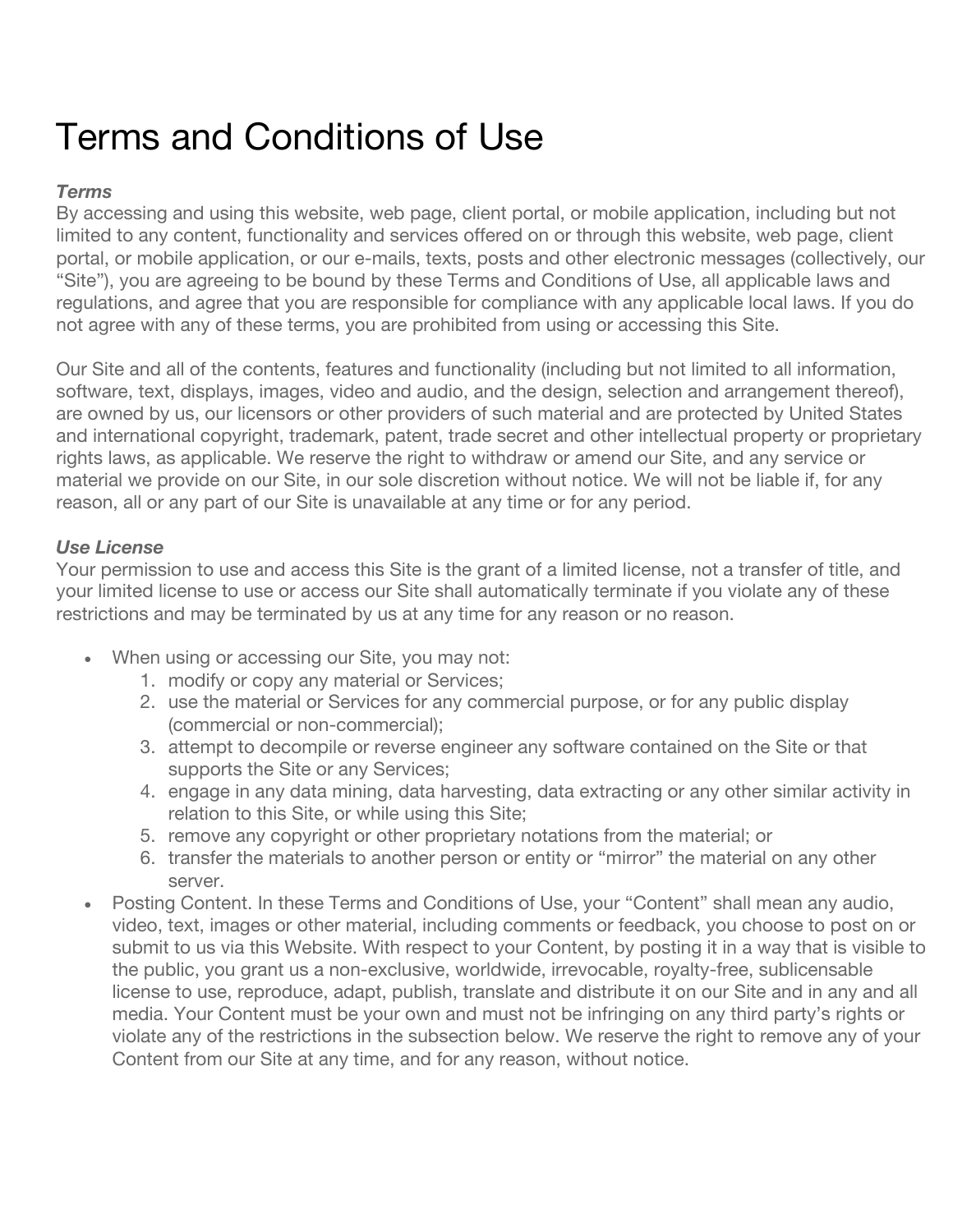# Terms and Conditions of Use

# *Terms*

By accessing and using this website, web page, client portal, or mobile application, including but not limited to any content, functionality and services offered on or through this website, web page, client portal, or mobile application, or our e-mails, texts, posts and other electronic messages (collectively, our "Site"), you are agreeing to be bound by these Terms and Conditions of Use, all applicable laws and regulations, and agree that you are responsible for compliance with any applicable local laws. If you do not agree with any of these terms, you are prohibited from using or accessing this Site.

Our Site and all of the contents, features and functionality (including but not limited to all information, software, text, displays, images, video and audio, and the design, selection and arrangement thereof), are owned by us, our licensors or other providers of such material and are protected by United States and international copyright, trademark, patent, trade secret and other intellectual property or proprietary rights laws, as applicable. We reserve the right to withdraw or amend our Site, and any service or material we provide on our Site, in our sole discretion without notice. We will not be liable if, for any reason, all or any part of our Site is unavailable at any time or for any period.

# *Use License*

Your permission to use and access this Site is the grant of a limited license, not a transfer of title, and your limited license to use or access our Site shall automatically terminate if you violate any of these restrictions and may be terminated by us at any time for any reason or no reason.

- When using or accessing our Site, you may not:
	- 1. modify or copy any material or Services;
	- 2. use the material or Services for any commercial purpose, or for any public display (commercial or non-commercial);
	- 3. attempt to decompile or reverse engineer any software contained on the Site or that supports the Site or any Services;
	- 4. engage in any data mining, data harvesting, data extracting or any other similar activity in relation to this Site, or while using this Site;
	- 5. remove any copyright or other proprietary notations from the material; or
	- 6. transfer the materials to another person or entity or "mirror" the material on any other server.
- Posting Content. In these Terms and Conditions of Use, your "Content" shall mean any audio, video, text, images or other material, including comments or feedback, you choose to post on or submit to us via this Website. With respect to your Content, by posting it in a way that is visible to the public, you grant us a non-exclusive, worldwide, irrevocable, royalty-free, sublicensable license to use, reproduce, adapt, publish, translate and distribute it on our Site and in any and all media. Your Content must be your own and must not be infringing on any third party's rights or violate any of the restrictions in the subsection below. We reserve the right to remove any of your Content from our Site at any time, and for any reason, without notice.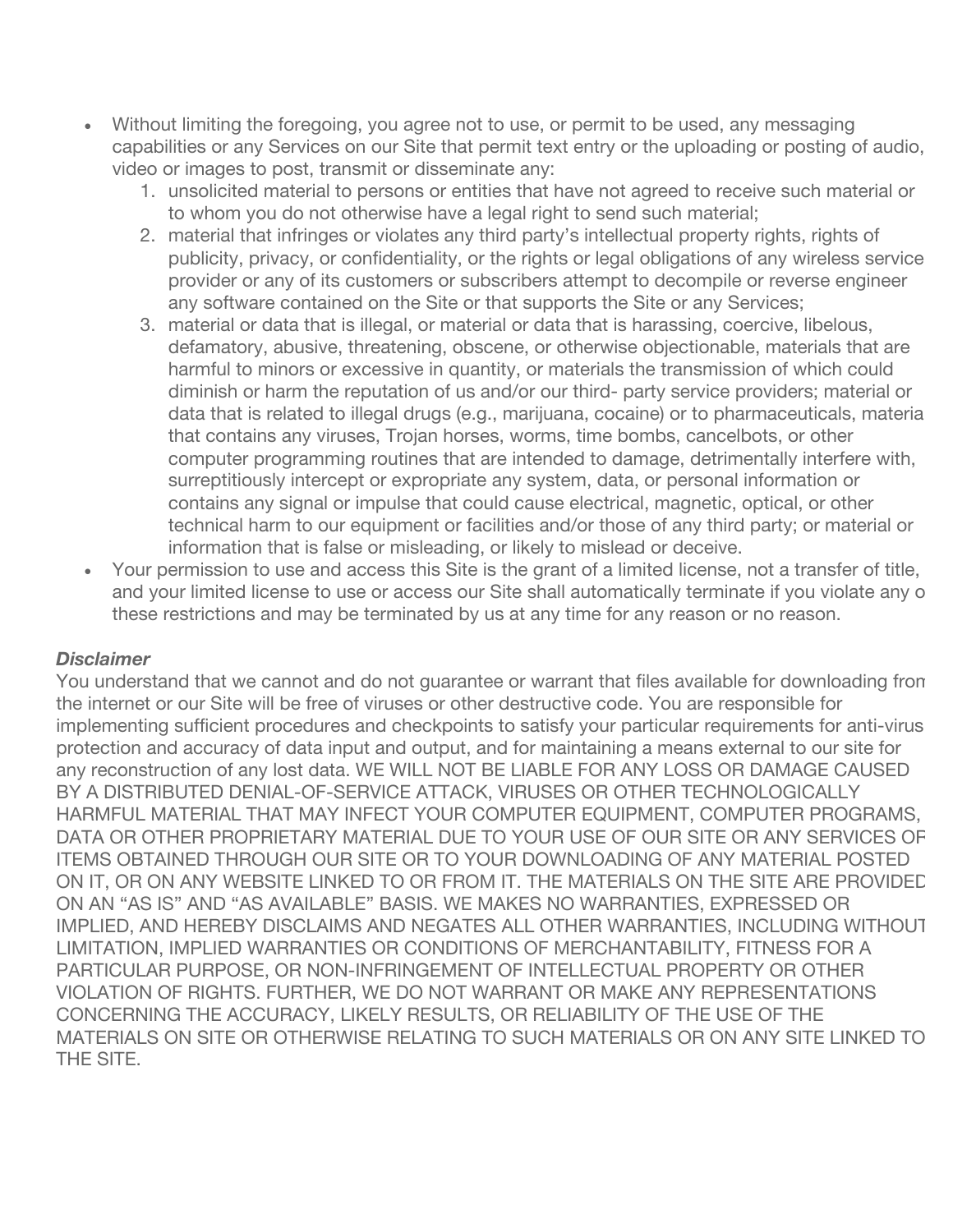- Without limiting the foregoing, you agree not to use, or permit to be used, any messaging capabilities or any Services on our Site that permit text entry or the uploading or posting of audio, video or images to post, transmit or disseminate any:
	- 1. unsolicited material to persons or entities that have not agreed to receive such material or to whom you do not otherwise have a legal right to send such material;
	- 2. material that infringes or violates any third party's intellectual property rights, rights of publicity, privacy, or confidentiality, or the rights or legal obligations of any wireless service provider or any of its customers or subscribers attempt to decompile or reverse engineer any software contained on the Site or that supports the Site or any Services;
	- 3. material or data that is illegal, or material or data that is harassing, coercive, libelous, defamatory, abusive, threatening, obscene, or otherwise objectionable, materials that are harmful to minors or excessive in quantity, or materials the transmission of which could diminish or harm the reputation of us and/or our third- party service providers; material or data that is related to illegal drugs (e.g., marijuana, cocaine) or to pharmaceuticals, material that contains any viruses, Trojan horses, worms, time bombs, cancelbots, or other computer programming routines that are intended to damage, detrimentally interfere with, surreptitiously intercept or expropriate any system, data, or personal information or contains any signal or impulse that could cause electrical, magnetic, optical, or other technical harm to our equipment or facilities and/or those of any third party; or material or information that is false or misleading, or likely to mislead or deceive.
- Your permission to use and access this Site is the grant of a limited license, not a transfer of title, and your limited license to use or access our Site shall automatically terminate if you violate any of these restrictions and may be terminated by us at any time for any reason or no reason.

# *Disclaimer*

You understand that we cannot and do not guarantee or warrant that files available for downloading from the internet or our Site will be free of viruses or other destructive code. You are responsible for implementing sufficient procedures and checkpoints to satisfy your particular requirements for anti-virus protection and accuracy of data input and output, and for maintaining a means external to our site for any reconstruction of any lost data. WE WILL NOT BE LIABLE FOR ANY LOSS OR DAMAGE CAUSED BY A DISTRIBUTED DENIAL-OF-SERVICE ATTACK, VIRUSES OR OTHER TECHNOLOGICALLY HARMFUL MATERIAL THAT MAY INFECT YOUR COMPUTER EQUIPMENT, COMPUTER PROGRAMS, DATA OR OTHER PROPRIETARY MATERIAL DUE TO YOUR USE OF OUR SITE OR ANY SERVICES OR ITEMS OBTAINED THROUGH OUR SITE OR TO YOUR DOWNLOADING OF ANY MATERIAL POSTED ON IT, OR ON ANY WEBSITE LINKED TO OR FROM IT. THE MATERIALS ON THE SITE ARE PROVIDED ON AN "AS IS" AND "AS AVAILABLE" BASIS. WE MAKES NO WARRANTIES, EXPRESSED OR IMPLIED, AND HEREBY DISCLAIMS AND NEGATES ALL OTHER WARRANTIES, INCLUDING WITHOUT LIMITATION, IMPLIED WARRANTIES OR CONDITIONS OF MERCHANTABILITY, FITNESS FOR A PARTICULAR PURPOSE, OR NON-INFRINGEMENT OF INTELLECTUAL PROPERTY OR OTHER VIOLATION OF RIGHTS. FURTHER, WE DO NOT WARRANT OR MAKE ANY REPRESENTATIONS CONCERNING THE ACCURACY, LIKELY RESULTS, OR RELIABILITY OF THE USE OF THE MATERIALS ON SITE OR OTHERWISE RELATING TO SUCH MATERIALS OR ON ANY SITE LINKED TO THE SITE.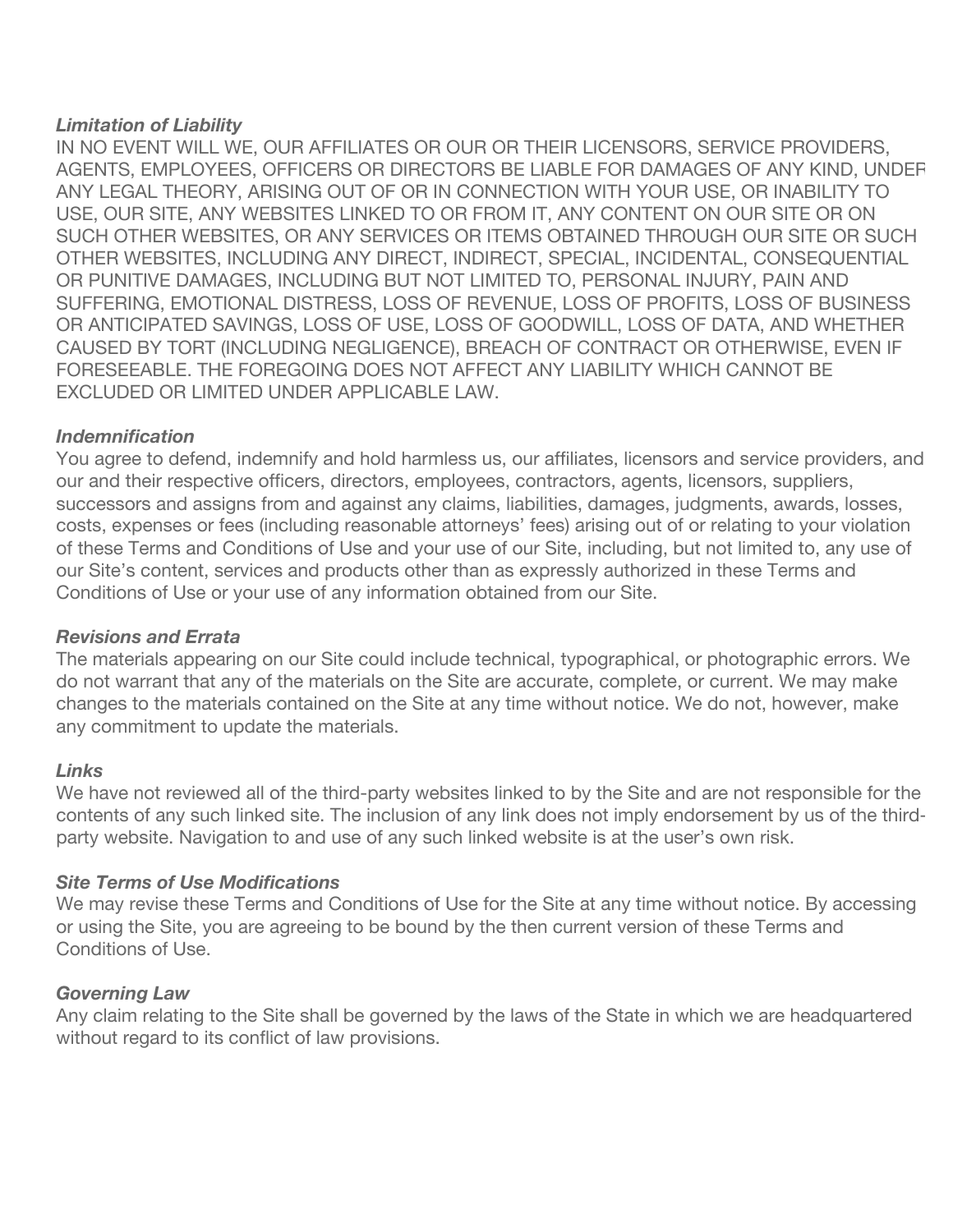## *Limitation of Liability*

IN NO EVENT WILL WE, OUR AFFILIATES OR OUR OR THEIR LICENSORS, SERVICE PROVIDERS, AGENTS, EMPLOYEES, OFFICERS OR DIRECTORS BE LIABLE FOR DAMAGES OF ANY KIND, UNDER ANY LEGAL THEORY, ARISING OUT OF OR IN CONNECTION WITH YOUR USE, OR INABILITY TO USE, OUR SITE, ANY WEBSITES LINKED TO OR FROM IT, ANY CONTENT ON OUR SITE OR ON SUCH OTHER WEBSITES, OR ANY SERVICES OR ITEMS OBTAINED THROUGH OUR SITE OR SUCH OTHER WEBSITES, INCLUDING ANY DIRECT, INDIRECT, SPECIAL, INCIDENTAL, CONSEQUENTIAL OR PUNITIVE DAMAGES, INCLUDING BUT NOT LIMITED TO, PERSONAL INJURY, PAIN AND SUFFERING, EMOTIONAL DISTRESS, LOSS OF REVENUE, LOSS OF PROFITS, LOSS OF BUSINESS OR ANTICIPATED SAVINGS, LOSS OF USE, LOSS OF GOODWILL, LOSS OF DATA, AND WHETHER CAUSED BY TORT (INCLUDING NEGLIGENCE), BREACH OF CONTRACT OR OTHERWISE, EVEN IF FORESEEABLE. THE FOREGOING DOES NOT AFFECT ANY LIABILITY WHICH CANNOT BE EXCLUDED OR LIMITED UNDER APPLICABLE LAW.

### *Indemnification*

You agree to defend, indemnify and hold harmless us, our affiliates, licensors and service providers, and our and their respective officers, directors, employees, contractors, agents, licensors, suppliers, successors and assigns from and against any claims, liabilities, damages, judgments, awards, losses, costs, expenses or fees (including reasonable attorneys' fees) arising out of or relating to your violation of these Terms and Conditions of Use and your use of our Site, including, but not limited to, any use of our Site's content, services and products other than as expressly authorized in these Terms and Conditions of Use or your use of any information obtained from our Site.

#### *Revisions and Errata*

The materials appearing on our Site could include technical, typographical, or photographic errors. We do not warrant that any of the materials on the Site are accurate, complete, or current. We may make changes to the materials contained on the Site at any time without notice. We do not, however, make any commitment to update the materials.

#### *Links*

We have not reviewed all of the third-party websites linked to by the Site and are not responsible for the contents of any such linked site. The inclusion of any link does not imply endorsement by us of the thirdparty website. Navigation to and use of any such linked website is at the user's own risk.

#### *Site Terms of Use Modifications*

We may revise these Terms and Conditions of Use for the Site at any time without notice. By accessing or using the Site, you are agreeing to be bound by the then current version of these Terms and Conditions of Use.

#### *Governing Law*

Any claim relating to the Site shall be governed by the laws of the State in which we are headquartered without regard to its conflict of law provisions.